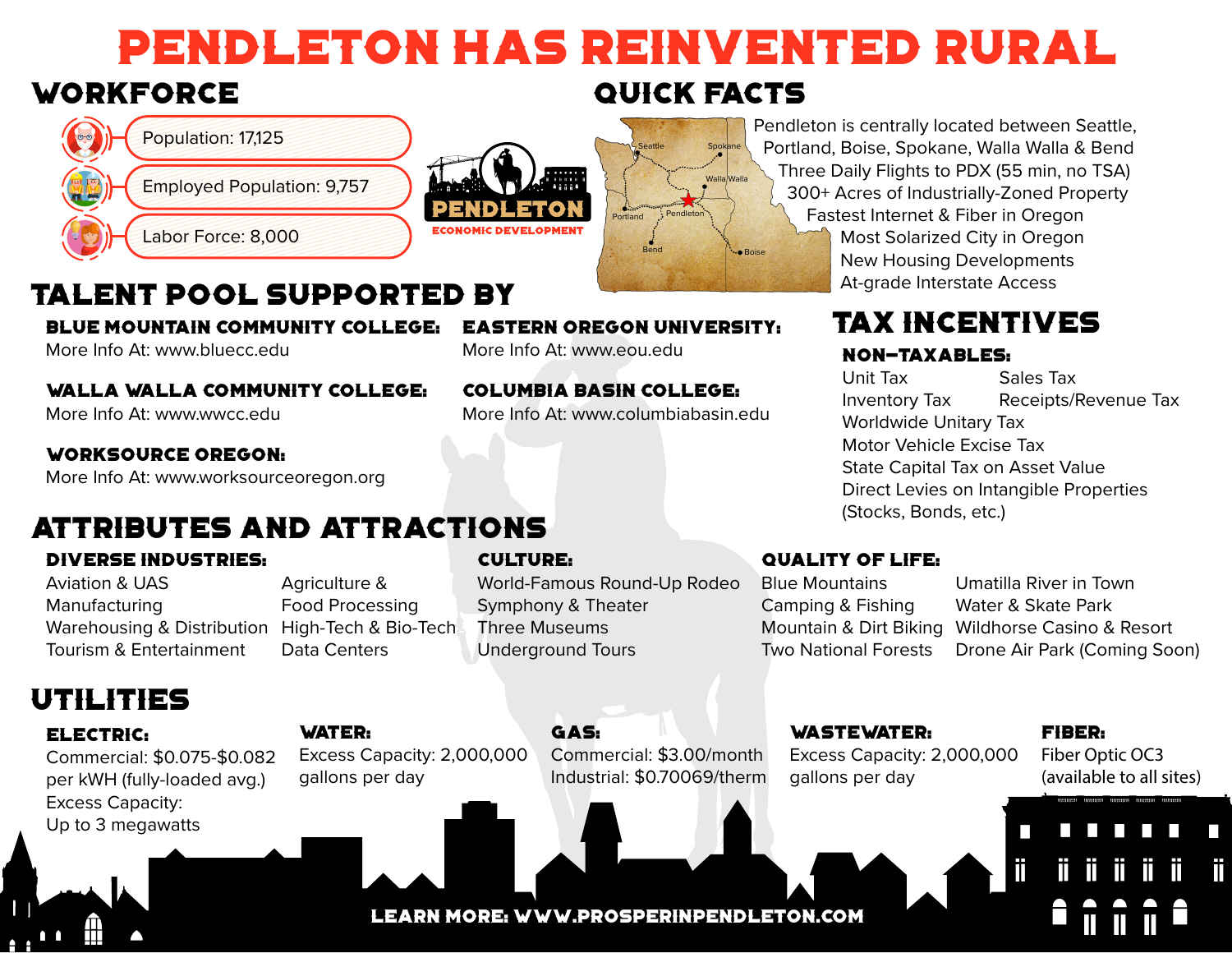# Pendleton Has Reinvented Rural

# Workforce



# Talent pool supported by

Blue Mountain Community College:

More Info At: www.bluecc.edu

Walla Walla Community College:

More Info At: www.wwcc.edu

### Worksource Oregon:

More Info At: www.worksourceoregon.org

## Attributes and Attractions

## Diverse Industries:

Aviation & UAS Manufacturing Warehousing & Distribution High-Tech & Bio-Tech Tourism & Entertainment

Agriculture & Food Processing Data Centers

## Culture:

World-Famous Round-Up Rodeo Symphony & Theater Three Museums Underground Tours

learn more: www.prosperinpendleton.com

## Quality of life:

Blue Mountains Camping & Fishing Mountain & Dirt Biking Two National Forests

Umatilla River in Town Water & Skate Park Wildhorse Casino & Resort Drone Air Park (Coming Soon)

## Utilities

## ELECTRIC:

Commercial: \$0.075-\$0.082 per kWH (fully-loaded avg.) Excess Capacity: Up to 3 megawatts

#### WATER:

Excess Capacity: 2,000,000 gallons per day

### GAS: Commercial: \$3.00/month Industrial: \$0.70069/therm

Wastewater: Excess Capacity: 2,000,000 gallons per day

#### Fiber:

Fiber Optic OC3 (available to all sites)

π

#### Eastern Oregon University: More Info At: www.eou.edu

Columbia Basin College:

More Info At: www.columbiabasin.edu

## Quick facts

Spokane Walla Walla

· Boise

Pendleton

**Seattle** 

Bend

Portland

Pendleton is centrally located between Seattle, Portland, Boise, Spokane, Walla Walla & Bend Three Daily Flights to PDX (55 min, no TSA) 300+ Acres of Industrially-Zoned Property Fastest Internet & Fiber in Oregon Most Solarized City in Oregon New Housing Developments At-grade Interstate Access

# Tax Incentives

## Non-Taxables:

Unit Tax Sales Tax Inventory Tax Receipts/Revenue Tax Worldwide Unitary Tax Motor Vehicle Excise Tax State Capital Tax on Asset Value Direct Levies on Intangible Properties (Stocks, Bonds, etc.)